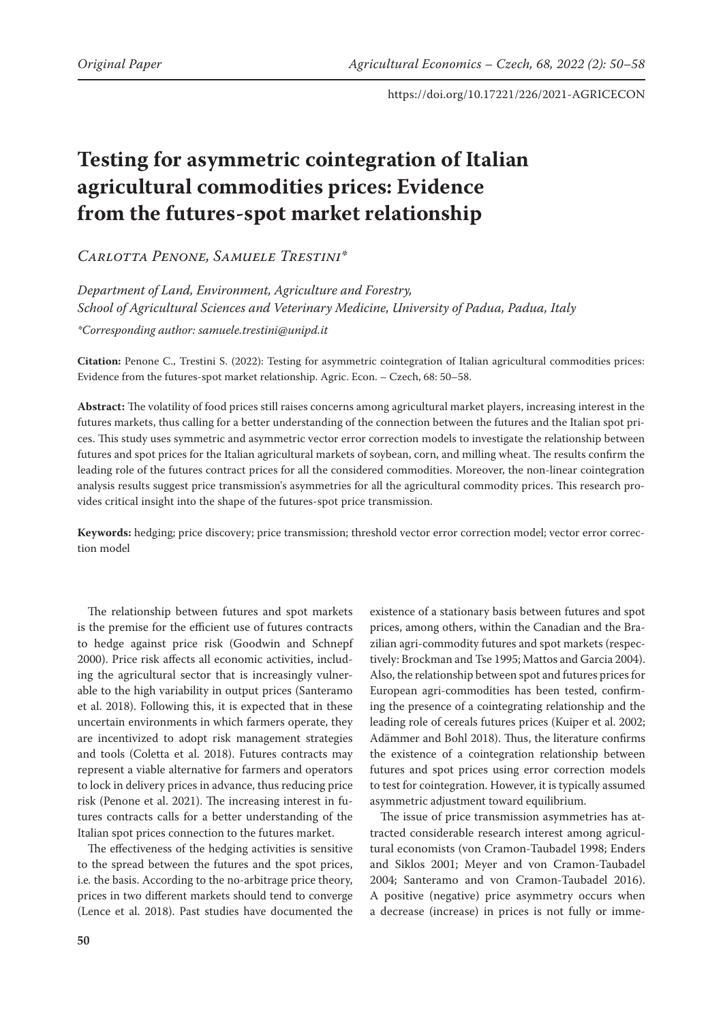# **Testing for asymmetric cointegration of Italian agricultural commodities prices: Evidence from the futures-spot market relationship**

*Carlotta Penone, Samuele Trestini\**

*Department of Land, Environment, Agriculture and Forestry, School of Agricultural Sciences and Veterinary Medicine, University of Padua, Padua, Italy \*Corresponding author: samuele.trestini@unipd.it*

**Citation:** Penone C., Trestini S. (2022): Testing for asymmetric cointegration of Italian agricultural commodities prices: Evidence from the futures-spot market relationship. Agric. Econ. – Czech, 68: 50–58.

**Abstract:** The volatility of food prices still raises concerns among agricultural market players, increasing interest in the futures markets, thus calling for a better understanding of the connection between the futures and the Italian spot prices. This study uses symmetric and asymmetric vector error correction models to investigate the relationship between futures and spot prices for the Italian agricultural markets of soybean, corn, and milling wheat. The results confirm the leading role of the futures contract prices for all the considered commodities. Moreover, the non-linear cointegration analysis results suggest price transmission's asymmetries for all the agricultural commodity prices. This research provides critical insight into the shape of the futures-spot price transmission.

**Keywords:** hedging; price discovery; price transmission; threshold vector error correction model; vector error correction model

The relationship between futures and spot markets is the premise for the efficient use of futures contracts to hedge against price risk (Goodwin and Schnepf 2000). Price risk affects all economic activities, including the agricultural sector that is increasingly vulnerable to the high variability in output prices (Santeramo et al. 2018). Following this, it is expected that in these uncertain environments in which farmers operate, they are incentivized to adopt risk management strategies and tools (Coletta et al. 2018). Futures contracts may represent a viable alternative for farmers and operators to lock in delivery prices in advance, thus reducing price risk (Penone et al. 2021). The increasing interest in futures contracts calls for a better understanding of the Italian spot prices connection to the futures market.

The effectiveness of the hedging activities is sensitive to the spread between the futures and the spot prices, i.e*.* the basis. According to the no-arbitrage price theory, prices in two different markets should tend to converge (Lence et al. 2018). Past studies have documented the

existence of a stationary basis between futures and spot prices, among others, within the Canadian and the Brazilian agri-commodity futures and spot markets (respectively: Brockman and Tse 1995; Mattos and Garcia 2004). Also, the relationship between spot and futures prices for European agri-commodities has been tested, confirming the presence of a cointegrating relationship and the leading role of cereals futures prices (Kuiper et al. 2002; Adämmer and Bohl 2018). Thus, the literature confirms the existence of a cointegration relationship between futures and spot prices using error correction models to test for cointegration. However, it is typically assumed asymmetric adjustment toward equilibrium.

The issue of price transmission asymmetries has attracted considerable research interest among agricultural economists (von Cramon-Taubadel 1998; Enders and Siklos 2001; Meyer and von Cramon-Taubadel 2004; Santeramo and von Cramon-Taubadel 2016). A positive (negative) price asymmetry occurs when a decrease (increase) in prices is not fully or imme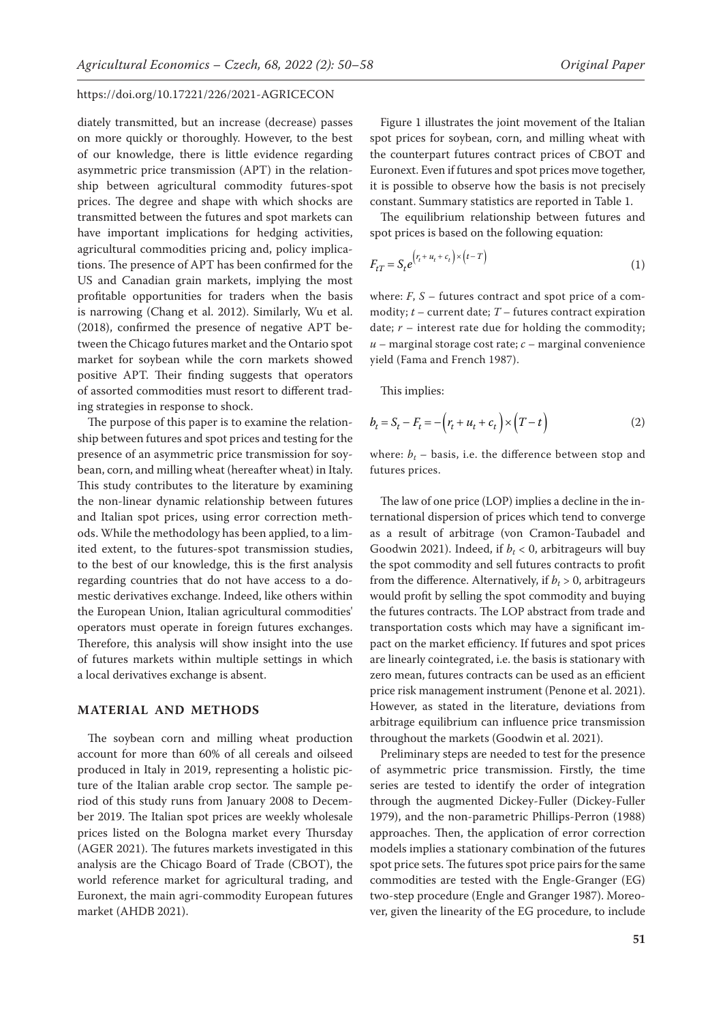diately transmitted, but an increase (decrease) passes on more quickly or thoroughly. However, to the best of our knowledge, there is little evidence regarding asymmetric price transmission (APT) in the relationship between agricultural commodity futures-spot prices. The degree and shape with which shocks are transmitted between the futures and spot markets can have important implications for hedging activities, agricultural commodities pricing and, policy implications. The presence of APT has been confirmed for the US and Canadian grain markets, implying the most profitable opportunities for traders when the basis is narrowing (Chang et al. 2012). Similarly, Wu et al. (2018), confirmed the presence of negative APT between the Chicago futures market and the Ontario spot market for soybean while the corn markets showed positive APT. Their finding suggests that operators of assorted commodities must resort to different trading strategies in response to shock.

The purpose of this paper is to examine the relationship between futures and spot prices and testing for the presence of an asymmetric price transmission for soybean, corn, and milling wheat (hereafter wheat) in Italy. This study contributes to the literature by examining the non-linear dynamic relationship between futures and Italian spot prices, using error correction methods. While the methodology has been applied, to a limited extent, to the futures-spot transmission studies, to the best of our knowledge, this is the first analysis regarding countries that do not have access to a domestic derivatives exchange. Indeed, like others within the European Union, Italian agricultural commodities' operators must operate in foreign futures exchanges. Therefore, this analysis will show insight into the use of futures markets within multiple settings in which a local derivatives exchange is absent.

# **MATERIAL AND METHODS**

The soybean corn and milling wheat production account for more than 60% of all cereals and oilseed produced in Italy in 2019, representing a holistic picture of the Italian arable crop sector. The sample period of this study runs from January 2008 to December 2019. The Italian spot prices are weekly wholesale prices listed on the Bologna market every Thursday (AGER 2021). The futures markets investigated in this analysis are the Chicago Board of Trade (CBOT), the world reference market for agricultural trading, and Euronext, the main agri-commodity European futures market (AHDB 2021).

Figure 1 illustrates the joint movement of the Italian spot prices for soybean, corn, and milling wheat with the counterpart futures contract prices of CBOT and Euronext. Even if futures and spot prices move together, it is possible to observe how the basis is not precisely constant. Summary statistics are reported in Table 1.

The equilibrium relationship between futures and spot prices is based on the following equation:

$$
F_{tT} = S_t e^{\left(r_t + u_t + c_t\right) \times \left(t - T\right)}
$$
\n<sup>(1)</sup>

where:  $F$ ,  $S$  – futures contract and spot price of a commodity; *t* – current date; *T* – futures contract expiration date;  $r$  – interest rate due for holding the commodity;  $u$  – marginal storage cost rate;  $c$  – marginal convenience yield (Fama and French 1987).

This implies:

$$
b_t = S_t - F_t = -\left(r_t + u_t + c_t\right) \times \left(T - t\right) \tag{2}
$$

where:  $b_t$  – basis, i.e. the difference between stop and futures prices.

The law of one price (LOP) implies a decline in the international dispersion of prices which tend to converge as a result of arbitrage (von Cramon-Taubadel and Goodwin 2021). Indeed, if  $b_t < 0$ , arbitrageurs will buy the spot commodity and sell futures contracts to profit from the difference. Alternatively, if  $b_t > 0$ , arbitrageurs would profit by selling the spot commodity and buying the futures contracts. The LOP abstract from trade and transportation costs which may have a significant impact on the market efficiency. If futures and spot prices are linearly cointegrated, i.e. the basis is stationary with zero mean, futures contracts can be used as an efficient price risk management instrument (Penone et al. 2021). However, as stated in the literature, deviations from arbitrage equilibrium can influence price transmission throughout the markets (Goodwin et al. 2021).

Preliminary steps are needed to test for the presence of asymmetric price transmission. Firstly, the time series are tested to identify the order of integration through the augmented Dickey-Fuller (Dickey-Fuller 1979), and the non-parametric Phillips-Perron (1988) approaches. Then, the application of error correction models implies a stationary combination of the futures spot price sets. The futures spot price pairs for the same commodities are tested with the Engle-Granger (EG) two-step procedure (Engle and Granger 1987). Moreover, given the linearity of the EG procedure, to include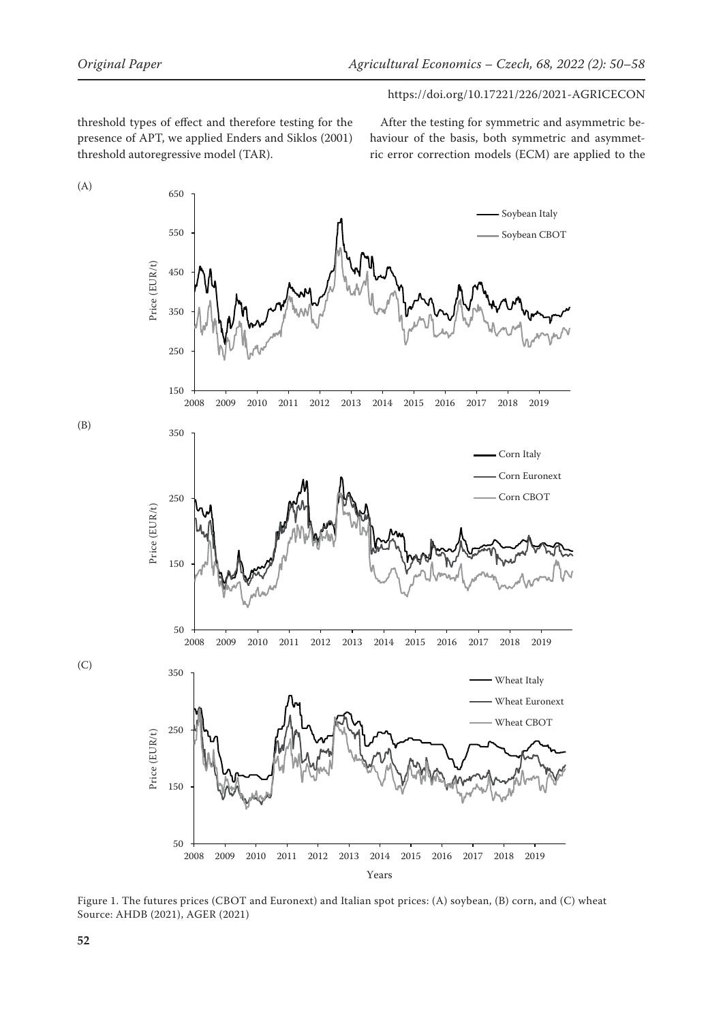threshold types of effect and therefore testing for the presence of APT, we applied Enders and Siklos (2001) threshold autoregressive model (TAR).

After the testing for symmetric and asymmetric behaviour of the basis, both symmetric and asymmetric error correction models (ECM) are applied to the



Figure 1. The futures prices (CBOT and Euronext) and Italian spot prices: (A) soybean, (B) corn, and (C) wheat Source: AHDB (2021), AGER (2021)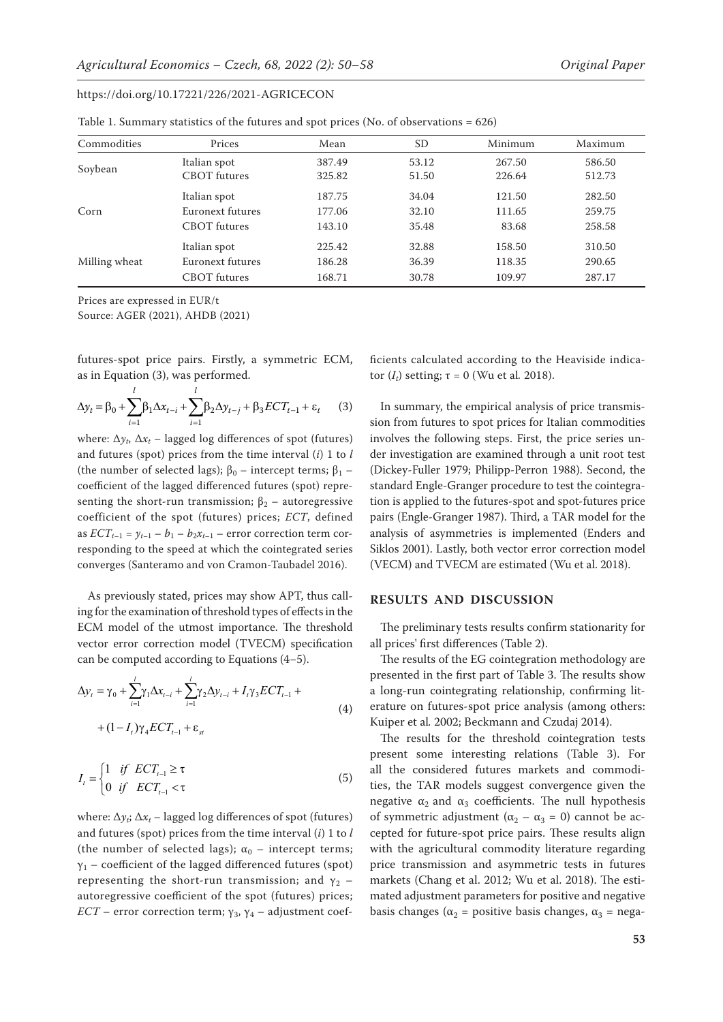|  |  |  |  | Table 1. Summary statistics of the futures and spot prices (No. of observations $= 626$ ) |
|--|--|--|--|-------------------------------------------------------------------------------------------|
|--|--|--|--|-------------------------------------------------------------------------------------------|

| Commodities   | Prices              | Mean   | SD    | Minimum | Maximum |
|---------------|---------------------|--------|-------|---------|---------|
|               | Italian spot        | 387.49 | 53.12 | 267.50  | 586.50  |
| Soybean       | <b>CBOT</b> futures | 325.82 | 51.50 | 226.64  | 512.73  |
| Corn          | Italian spot        | 187.75 | 34.04 | 121.50  | 282.50  |
|               | Euronext futures    | 177.06 | 32.10 | 111.65  | 259.75  |
|               | <b>CBOT</b> futures | 143.10 | 35.48 | 83.68   | 258.58  |
| Milling wheat | Italian spot        | 225.42 | 32.88 | 158.50  | 310.50  |
|               | Euronext futures    | 186.28 | 36.39 | 118.35  | 290.65  |
|               | CBOT futures        | 168.71 | 30.78 | 109.97  | 287.17  |

Prices are expressed in EUR/t

Source: AGER (2021), AHDB (2021)

futures-spot price pairs. Firstly, a symmetric ECM, as in Equation (3), was performed.

$$
\Delta y_t = \beta_0 + \sum_{i=1}^l \beta_1 \Delta x_{t-i} + \sum_{i=1}^l \beta_2 \Delta y_{t-j} + \beta_3 ECT_{t-1} + \varepsilon_t \qquad (3)
$$

where:  $\Delta y_t$ ,  $\Delta x_t$  – lagged log differences of spot (futures) and futures (spot) prices from the time interval (*i*) 1 to *l* (the number of selected lags);  $β<sub>0</sub>$  – intercept terms;  $β<sub>1</sub>$  – coefficient of the lagged differenced futures (spot) representing the short-run transmission;  $\beta_2$  – autoregressive coefficient of the spot (futures) prices; *ECT*, defined as  $ECT_{t-1} = y_{t-1} - b_1 - b_2 x_{t-1}$  – error correction term corresponding to the speed at which the cointegrated series converges (Santeramo and von Cramon-Taubadel 2016).

As previously stated, prices may show APT, thus calling for the examination of threshold types of effects in the ECM model of the utmost importance. The threshold vector error correction model (TVECM) specification can be computed according to Equations (4*−*5).

$$
\Delta y_{t} = \gamma_{0} + \sum_{i=1}^{l} \gamma_{1} \Delta x_{t-i} + \sum_{i=1}^{l} \gamma_{2} \Delta y_{t-i} + I_{t} \gamma_{3} ECT_{t-1} + \text{ a long}
$$
\n
$$
+ (1 - I_{t}) \gamma_{4} ECT_{t-1} + \varepsilon_{st}
$$
\n(4)

\n(4)

\nRule

\nFigure 1.1.11

\n(4)

\nFigure 2.1.12

$$
I_{t} = \begin{cases} 1 & \text{if } ECT_{t-1} \ge \tau \\ 0 & \text{if } ECT_{t-1} < \tau \end{cases}
$$
 (5)

where:  $\Delta y_i$ ;  $\Delta x_t$  – lagged log differences of spot (futures) and futures (spot) prices from the time interval (*i*) 1 to *l* (the number of selected lags);  $\alpha_0$  – intercept terms;  $\gamma_1$  – coefficient of the lagged differenced futures (spot) representing the short-run transmission; and  $y_2$  – autoregressive coefficient of the spot (futures) prices; *ECT* – error correction term;  $\gamma_3$ ,  $\gamma_4$  – adjustment coefficients calculated according to the Heaviside indicator  $(I_t)$  setting;  $τ = 0$  (Wu et al. 2018).

In summary, the empirical analysis of price transmission from futures to spot prices for Italian commodities involves the following steps. First, the price series under investigation are examined through a unit root test (Dickey-Fuller 1979; Philipp-Perron 1988). Second, the standard Engle-Granger procedure to test the cointegration is applied to the futures-spot and spot-futures price pairs (Engle-Granger 1987). Third, a TAR model for the analysis of asymmetries is implemented (Enders and Siklos 2001). Lastly, both vector error correction model (VECM) and TVECM are estimated (Wu et al. 2018).

# **RESULTS AND DISCUSSION**

The preliminary tests results confirm stationarity for all prices' first differences (Table 2).

a long-run cointegrating relationship, confirming lit-The results of the EG cointegration methodology are presented in the first part of Table 3. The results show erature on futures-spot price analysis (among others: Kuiper et al*.* 2002; Beckmann and Czudaj 2014).

> The results for the threshold cointegration tests present some interesting relations (Table 3). For all the considered futures markets and commodities, the TAR models suggest convergence given the negative  $\alpha_2$  and  $\alpha_3$  coefficients. The null hypothesis of symmetric adjustment ( $\alpha_2 - \alpha_3 = 0$ ) cannot be accepted for future-spot price pairs. These results align with the agricultural commodity literature regarding price transmission and asymmetric tests in futures markets (Chang et al. 2012; Wu et al. 2018). The estimated adjustment parameters for positive and negative basis changes ( $\alpha_2$  = positive basis changes,  $\alpha_3$  = nega-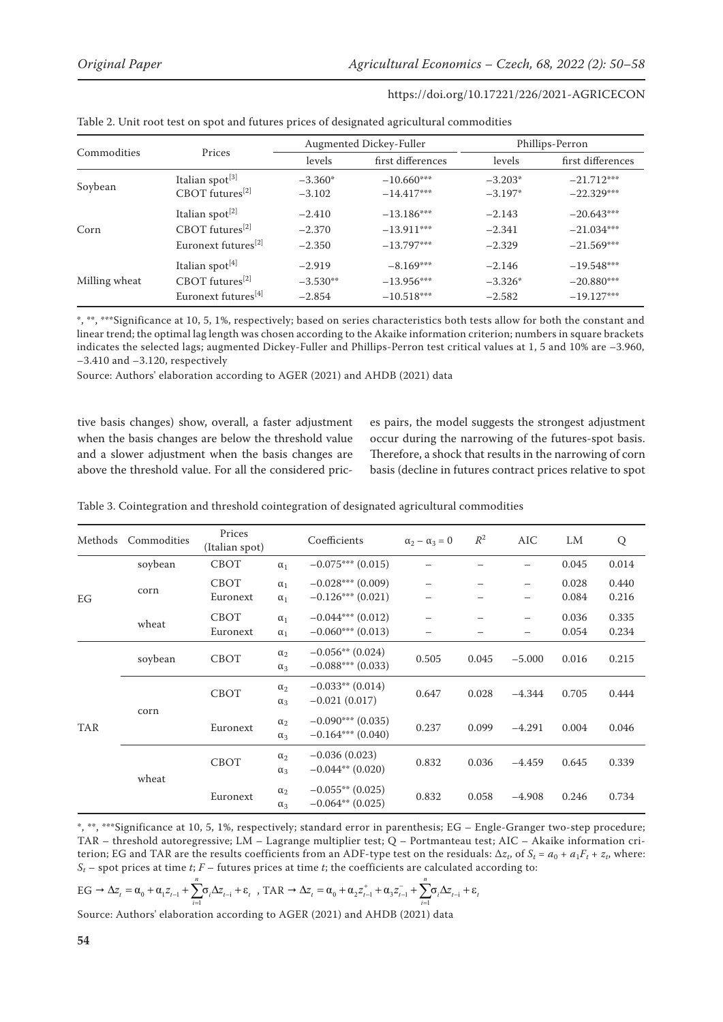| Commodities   |                                 |            | Augmented Dickey-Fuller | Phillips-Perron |                   |  |
|---------------|---------------------------------|------------|-------------------------|-----------------|-------------------|--|
|               | Prices                          | levels     | first differences       | levels          | first differences |  |
| Soybean       | Italian spot <sup>[3]</sup>     | $-3.360*$  | $-10.660***$            | $-3.203*$       | $-21.712***$      |  |
|               | CBOT futures <sup>[2]</sup>     | $-3.102$   | $-14.417***$            | $-3.197*$       | $-22.329***$      |  |
| Corn          | Italian spot <sup>[2]</sup>     | $-2.410$   | $-13.186***$            | $-2.143$        | $-20.643***$      |  |
|               | $CBOT$ futures <sup>[2]</sup>   | $-2.370$   | $-13.911***$            | $-2.341$        | $-21.034***$      |  |
|               | Euronext futures <sup>[2]</sup> | $-2.350$   | $-13.797***$            | $-2.329$        | $-21.569***$      |  |
| Milling wheat | Italian spot <sup>[4]</sup>     | $-2.919$   | $-8.169***$             | $-2.146$        | $-19.548***$      |  |
|               | $CBOT$ futures <sup>[2]</sup>   | $-3.530**$ | $-13.956***$            | $-3.326*$       | $-20.880***$      |  |
|               | Euronext futures <sup>[4]</sup> | $-2.854$   | $-10.518***$            | $-2.582$        | $-19.127***$      |  |

Table 2. Unit root test on spot and futures prices of designated agricultural commodities

\*, \*\*, \*\*\*Significance at 10, 5, 1%, respectively; based on series characteristics both tests allow for both the constant and linear trend; the optimal lag length was chosen according to the Akaike information criterion; numbers in square brackets indicates the selected lags; augmented Dickey-Fuller and Phillips-Perron test critical values at 1, 5 and 10% are –3.960, –3.410 and –3.120, respectively

Source: Authors' elaboration according to AGER (2021) and AHDB (2021) data

tive basis changes) show, overall, a faster adjustment when the basis changes are below the threshold value and a slower adjustment when the basis changes are above the threshold value. For all the considered prices pairs, the model suggests the strongest adjustment occur during the narrowing of the futures-spot basis. Therefore, a shock that results in the narrowing of corn basis (decline in futures contract prices relative to spot

| Methods    | Commodities | Prices<br>(Italian spot) |                          | Coefficients                              | $\alpha_2 - \alpha_3 = 0$ | $R^2$ | AIC                      | LM    | Q     |
|------------|-------------|--------------------------|--------------------------|-------------------------------------------|---------------------------|-------|--------------------------|-------|-------|
|            | soybean     | <b>CBOT</b>              | $\alpha_1$               | $-0.075***(0.015)$                        |                           |       |                          | 0.045 | 0.014 |
|            | corn        | <b>CBOT</b>              | $\alpha_1$               | $-0.028***(0.009)$                        | —                         |       | $\qquad \qquad -$        | 0.028 | 0.440 |
| EG         |             | Euronext                 | $\alpha_1$               | $-0.126***(0.021)$                        |                           |       | $\overline{\phantom{0}}$ | 0.084 | 0.216 |
|            | wheat       | <b>CBOT</b>              | $\alpha_1$               | $-0.044***$ (0.012)                       |                           |       | $\qquad \qquad -$        | 0.036 | 0.335 |
|            |             | Euronext                 | $\alpha_1$               | $-0.060***(0.013)$                        |                           |       | $\overline{\phantom{0}}$ | 0.054 | 0.234 |
|            | soybean     | <b>CBOT</b>              | $\alpha_2$               | $-0.056**$ (0.024)                        | 0.505                     | 0.045 | $-5.000$                 | 0.016 | 0.215 |
|            |             |                          | $\alpha_3$               | $-0.088***(0.033)$                        |                           |       |                          |       |       |
|            | corn        | <b>CBOT</b>              | $\alpha_2$               | $-0.033**$ (0.014)                        | 0.647                     | 0.028 | $-4.344$                 | 0.705 | 0.444 |
|            |             |                          | $\alpha_3$               | $-0.021(0.017)$                           |                           |       |                          |       |       |
| <b>TAR</b> |             | Euronext                 | $\alpha_2$<br>$\alpha_3$ | $-0.090***$ (0.035)<br>$-0.164***(0.040)$ | 0.237                     | 0.099 | $-4.291$                 | 0.004 | 0.046 |
|            | wheat       | <b>CBOT</b>              | $\alpha_2$<br>$\alpha_3$ | $-0.036(0.023)$<br>$-0.044**$ (0.020)     | 0.832                     | 0.036 | $-4.459$                 | 0.645 | 0.339 |
|            |             | Euronext                 | $\alpha_2$<br>$\alpha_3$ | $-0.055**$ (0.025)<br>$-0.064**$ (0.025)  | 0.832                     | 0.058 | $-4.908$                 | 0.246 | 0.734 |

Table 3. Cointegration and threshold cointegration of designated agricultural commodities

\*, \*\*, \*\*\*Significance at 10, 5, 1%, respectively; standard error in parenthesis; EG – Engle-Granger two-step procedure; TAR – threshold autoregressive; LM – Lagrange multiplier test; Q – Portmanteau test; AIC – Akaike information criterion; EG and TAR are the results coefficients from an ADF-type test on the residuals:  $\Delta z_t$ , of  $S_t = a_0 + a_1 F_t + z_t$ , where:  $S_t$  – spot prices at time *t*; *F* – futures prices at time *t*; the coefficients are calculated according to:

$$
EG \rightarrow \Delta z_t = \alpha_0 + \alpha_1 z_{t-1} + \sum_{i=1}^n \sigma_i \Delta z_{t-i} + \varepsilon_t , \text{ TAR} \rightarrow \Delta z_t = \alpha_0 + \alpha_2 z_{t-1}^+ + \alpha_3 z_{t-1}^- + \sum_{i=1}^n \sigma_i \Delta z_{t-i} + \varepsilon_t
$$

Source: Authors' elaboration according to AGER (2021) and AHDB (2021) data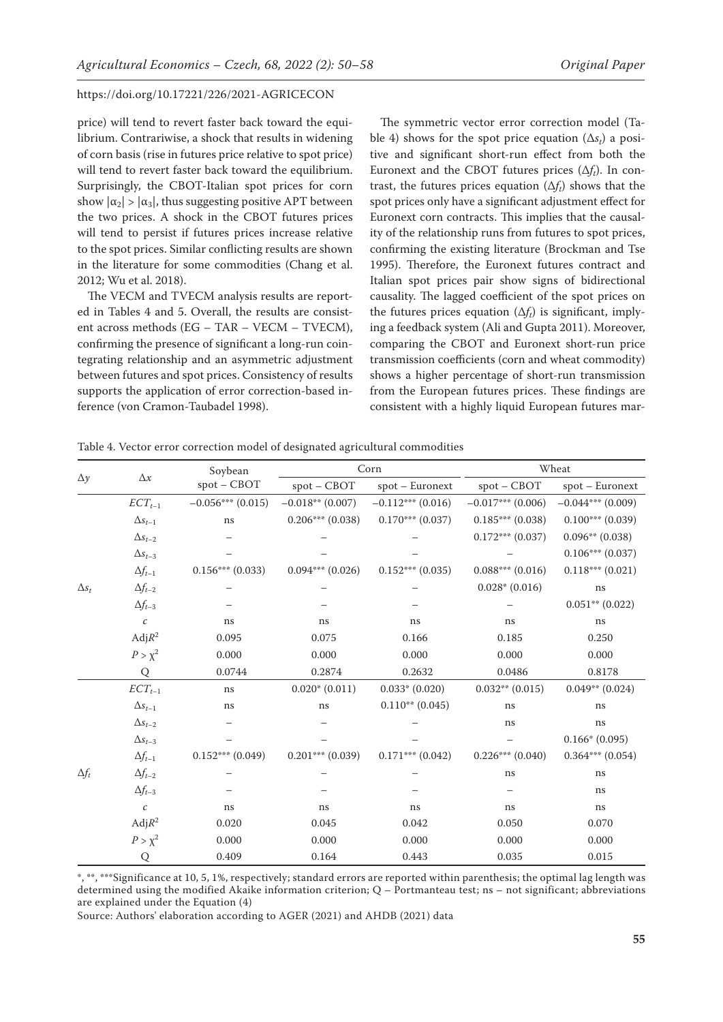price) will tend to revert faster back toward the equilibrium. Contrariwise, a shock that results in widening of corn basis (rise in futures price relative to spot price) will tend to revert faster back toward the equilibrium. Surprisingly, the CBOT-Italian spot prices for corn show  $|\alpha_2| > |\alpha_3|$ , thus suggesting positive APT between the two prices. A shock in the CBOT futures prices will tend to persist if futures prices increase relative to the spot prices. Similar conflicting results are shown in the literature for some commodities (Chang et al. 2012; Wu et al. 2018).

The VECM and TVECM analysis results are reported in Tables 4 and 5. Overall, the results are consistent across methods (EG – TAR – VECM – TVECM), confirming the presence of significant a long-run cointegrating relationship and an asymmetric adjustment between futures and spot prices. Consistency of results supports the application of error correction-based inference (von Cramon-Taubadel 1998).

The symmetric vector error correction model (Table 4) shows for the spot price equation (∆*st*) a positive and significant short-run effect from both the Euronext and the CBOT futures prices  $(\Delta f_t)$ . In contrast, the futures prices equation  $(\Delta f_t)$  shows that the spot prices only have a significant adjustment effect for Euronext corn contracts. This implies that the causality of the relationship runs from futures to spot prices, confirming the existing literature (Brockman and Tse 1995). Therefore, the Euronext futures contract and Italian spot prices pair show signs of bidirectional causality. The lagged coefficient of the spot prices on the futures prices equation (∆*ft*) is significant, implying a feedback system (Ali and Gupta 2011). Moreover, comparing the CBOT and Euronext short-run price transmission coefficients (corn and wheat commodity) shows a higher percentage of short-run transmission from the European futures prices. These findings are consistent with a highly liquid European futures mar-

|              |                    | Soybean<br>spot - CBOT |                      | Corn                 | Wheat               |                      |  |
|--------------|--------------------|------------------------|----------------------|----------------------|---------------------|----------------------|--|
| $\Delta y$   | $\Delta x$         |                        | $spot - CBOT$        | spot - Euronext      | spot - CBOT         | $spot - Euronext$    |  |
|              | $ECT_{t-1}$        | $-0.056***(0.015)$     | $-0.018**$ (0.007)   | $-0.112***(0.016)$   | $-0.017***$ (0.006) | $-0.044***(0.009)$   |  |
|              | $\Delta s_{t-1}$   | ns                     | $0.206***(0.038)$    | $0.170***$ (0.037)   | $0.185***(0.038)$   | $0.100***$ (0.039)   |  |
|              | $\Delta s_{t-2}$   |                        |                      |                      | $0.172***$ (0.037)  | $0.096**$ (0.038)    |  |
|              | $\Delta s_{t-3}$   |                        |                      |                      |                     | $0.106***(0.037)$    |  |
|              | $\Delta f_{t-1}$   | $0.156***$ (0.033)     | $0.094***$ $(0.026)$ | $0.152***(0.035)$    | $0.088***(0.016)$   | $0.118***$ $(0.021)$ |  |
| $\Delta s_t$ | $\Delta f_{t-2}$   |                        |                      |                      | $0.028*(0.016)$     | ns                   |  |
|              | $\Delta f_{t-3}$   |                        |                      |                      |                     | $0.051**$ (0.022)    |  |
|              | $\mathcal C$       | ns                     | ns                   | ns                   | ns                  | ns                   |  |
|              | Adj R <sup>2</sup> | 0.095                  | 0.075                | 0.166                | 0.185               | 0.250                |  |
|              | $P > \chi^2$       | 0.000                  | 0.000                | 0.000                | 0.000               | 0.000                |  |
|              | Q                  | 0.0744                 | 0.2874               | 0.2632               | 0.0486              | 0.8178               |  |
|              | $ECT_{t-1}$        | $\rm ns$               | $0.020*(0.011)$      | $0.033*(0.020)$      | $0.032**$ $(0.015)$ | $0.049**$ (0.024)    |  |
|              | $\Delta s_{t-1}$   | ns                     | ns                   | $0.110**$ (0.045)    | ns                  | ns                   |  |
|              | $\Delta s_{t-2}$   |                        |                      |                      | ns                  | ns                   |  |
|              | $\Delta s_{t-3}$   |                        |                      |                      |                     | $0.166*(0.095)$      |  |
|              | $\Delta f_{t-1}$   | $0.152***(0.049)$      | $0.201***$ (0.039)   | $0.171***$ $(0.042)$ | $0.226***(0.040)$   | $0.364***(0.054)$    |  |
| $\Delta f_t$ | $\Delta f_{t-2}$   |                        |                      |                      | ns                  | $\rm ns$             |  |
|              | $\Delta f_{t-3}$   |                        |                      |                      |                     | ns                   |  |
|              | $\mathcal{C}$      | ns                     | ns                   | ns                   | ns                  | ns                   |  |
|              | Adj R <sup>2</sup> | 0.020                  | 0.045                | 0.042                | 0.050               | 0.070                |  |
|              | $P > \chi^2$       | 0.000                  | 0.000                | 0.000                | 0.000               | 0.000                |  |
|              | Q                  | 0.409                  | 0.164                | 0.443                | 0.035               | 0.015                |  |

Table 4. Vector error correction model of designated agricultural commodities

\*, \*\*, \*\*\*Significance at 10, 5, 1%, respectively; standard errors are reported within parenthesis; the optimal lag length was determined using the modified Akaike information criterion; Q – Portmanteau test; ns – not significant; abbreviations are explained under the Equation (4)

Source: Authors' elaboration according to AGER (2021) and AHDB (2021) data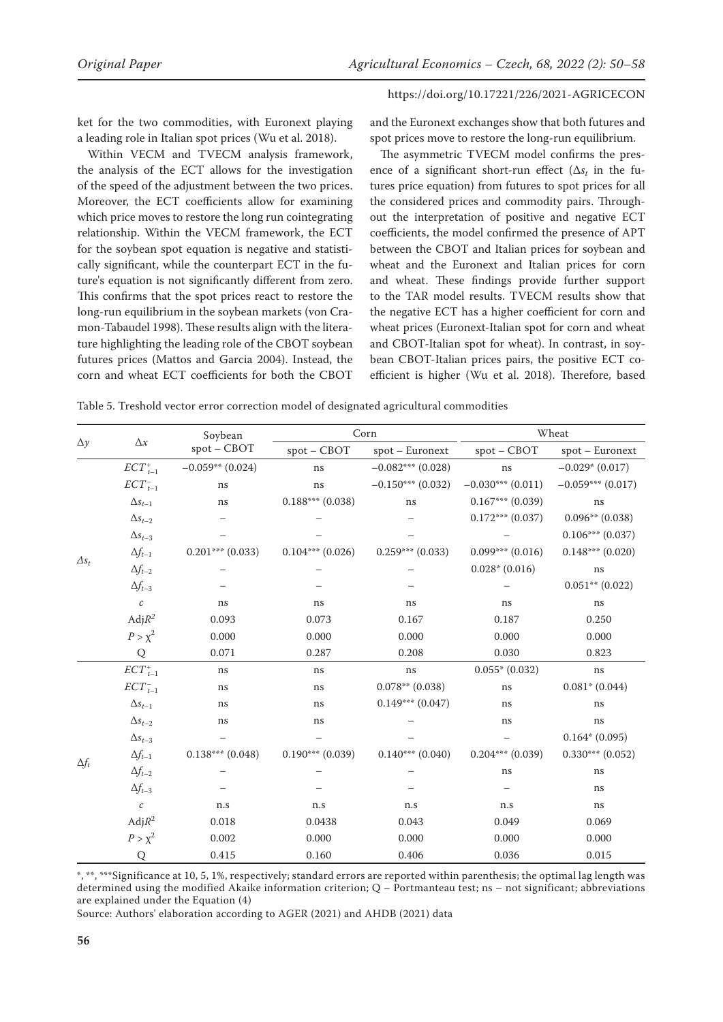ket for the two commodities, with Euronext playing a leading role in Italian spot prices (Wu et al. 2018).

Within VECM and TVECM analysis framework, the analysis of the ECT allows for the investigation of the speed of the adjustment between the two prices. Moreover, the ECT coefficients allow for examining which price moves to restore the long run cointegrating relationship. Within the VECM framework, the ECT for the soybean spot equation is negative and statistically significant, while the counterpart ECT in the future's equation is not significantly different from zero. This confirms that the spot prices react to restore the long-run equilibrium in the soybean markets (von Cramon-Tabaudel 1998). These results align with the literature highlighting the leading role of the CBOT soybean futures prices (Mattos and Garcia 2004). Instead, the corn and wheat ECT coefficients for both the CBOT

and the Euronext exchanges show that both futures and spot prices move to restore the long-run equilibrium.

The asymmetric TVECM model confirms the presence of a significant short-run effect (∆*st* in the futures price equation) from futures to spot prices for all the considered prices and commodity pairs. Throughout the interpretation of positive and negative ECT coefficients, the model confirmed the presence of APT between the CBOT and Italian prices for soybean and wheat and the Euronext and Italian prices for corn and wheat. These findings provide further support to the TAR model results. TVECM results show that the negative ECT has a higher coefficient for corn and wheat prices (Euronext-Italian spot for corn and wheat and CBOT-Italian spot for wheat). In contrast, in soybean CBOT-Italian prices pairs, the positive ECT coefficient is higher (Wu et al. 2018). Therefore, based

Table 5. Treshold vector error correction model of designated agricultural commodities

|              |                  | Soybean<br>spot - CBOT |                    | Corn                 | Wheat               |                      |  |
|--------------|------------------|------------------------|--------------------|----------------------|---------------------|----------------------|--|
| $\Delta y$   | $\Delta x$       |                        | $spot - CBOT$      | spot - Euronext      | spot - CBOT         | spot - Euronext      |  |
|              | $ECT_{t-1}^+$    | $-0.059**$ (0.024)     | ns                 | $-0.082***$ (0.028)  | ns                  | $-0.029*(0.017)$     |  |
|              | $ECT_{t-1}^-$    | ns                     | ns                 | $-0.150***$ (0.032)  | $-0.030***$ (0.011) | $-0.059***$ (0.017)  |  |
|              | $\Delta s_{t-1}$ | ns                     | $0.188***$ (0.038) | ns                   | $0.167***$ (0.039)  | ns                   |  |
|              | $\Delta s_{t-2}$ |                        |                    |                      | $0.172***$ (0.037)  | $0.096**$ (0.038)    |  |
|              | $\Delta s_{t-3}$ |                        |                    |                      |                     | $0.106***(0.037)$    |  |
|              | $\Delta f_{t-1}$ | $0.201***$ (0.033)     | $0.104***$ (0.026) | $0.259***(0.033)$    | $0.099***$ (0.016)  | $0.148***$ (0.020)   |  |
| $\Delta s_t$ | $\Delta f_{t-2}$ |                        |                    |                      | $0.028*(0.016)$     | ns                   |  |
|              | $\Delta f_{t-3}$ |                        |                    |                      |                     | $0.051**$ (0.022)    |  |
|              | $\boldsymbol{c}$ | ns                     | ns                 | ns                   | ns                  | ns                   |  |
|              | Adj $R^2$        | 0.093                  | 0.073              | 0.167                | 0.187               | 0.250                |  |
|              | $P > \chi^2$     | 0.000                  | 0.000              | 0.000                | 0.000               | 0.000                |  |
|              | Q                | 0.071                  | 0.287              | 0.208                | 0.030               | 0.823                |  |
|              | $ECT_{t-1}^+$    | ns                     | ns                 | ns                   | $0.055*(0.032)$     | ns                   |  |
|              | $ECT_{t-1}^-$    | ns                     | ns                 | $0.078**$ (0.038)    | ns                  | $0.081* (0.044)$     |  |
|              | $\Delta s_{t-1}$ | ns                     | ns                 | $0.149***$ $(0.047)$ | ns                  | ns                   |  |
|              | $\Delta s_{t-2}$ | ns                     | ns                 |                      | ns                  | ns                   |  |
|              | $\Delta s_{t-3}$ |                        |                    |                      |                     | $0.164*(0.095)$      |  |
| $\Delta f_t$ | $\Delta f_{t-1}$ | $0.138***$ (0.048)     | $0.190***$ (0.039) | $0.140***(0.040)$    | $0.204***(0.039)$   | $0.330***$ $(0.052)$ |  |
|              | $\Delta f_{t-2}$ |                        |                    |                      | ns                  | ns                   |  |
|              | $\Delta f_{t-3}$ |                        |                    |                      |                     | ns                   |  |
|              | $\boldsymbol{c}$ | n.s                    | n.s                | n.s                  | n.s                 | ns                   |  |
|              | Adj $R^2$        | 0.018                  | 0.0438             | 0.043                | 0.049               | 0.069                |  |
|              | $P > \chi^2$     | 0.002                  | 0.000              | 0.000                | 0.000               | 0.000                |  |
|              | Q                | 0.415                  | 0.160              | 0.406                | 0.036               | 0.015                |  |

\*, \*\*, \*\*\*Significance at 10, 5, 1%, respectively; standard errors are reported within parenthesis; the optimal lag length was determined using the modified Akaike information criterion; Q – Portmanteau test; ns – not significant; abbreviations are explained under the Equation (4)

Source: Authors' elaboration according to AGER (2021) and AHDB (2021) data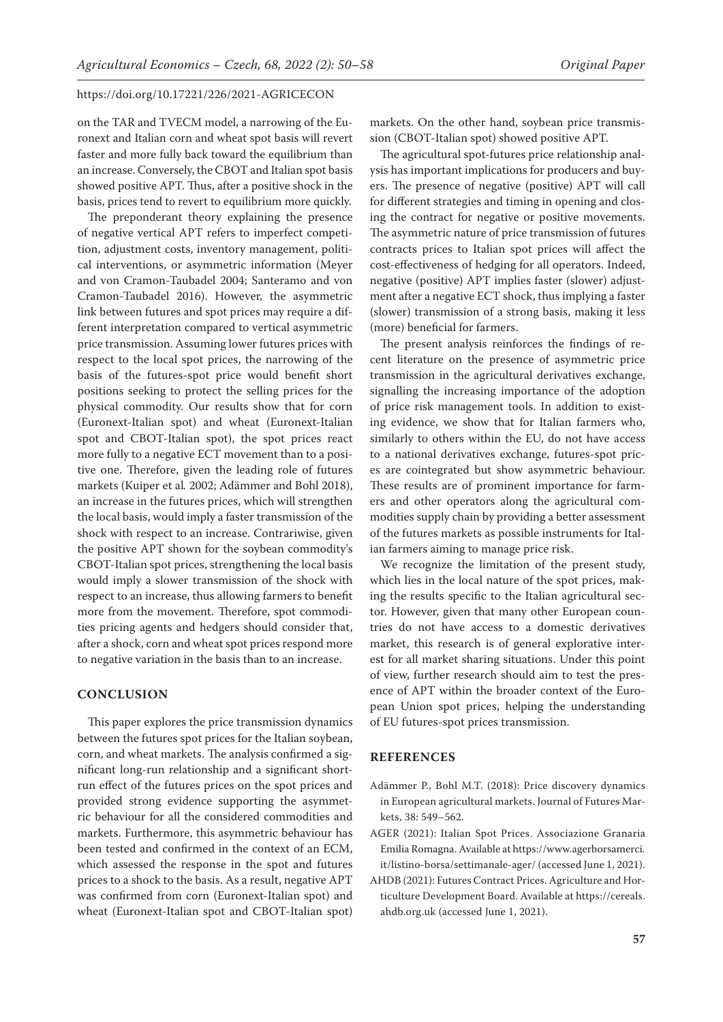on the TAR and TVECM model, a narrowing of the Euronext and Italian corn and wheat spot basis will revert faster and more fully back toward the equilibrium than an increase. Conversely, the CBOT and Italian spot basis showed positive APT. Thus, after a positive shock in the basis, prices tend to revert to equilibrium more quickly.

The preponderant theory explaining the presence of negative vertical APT refers to imperfect competition, adjustment costs, inventory management, political interventions, or asymmetric information (Meyer and von Cramon-Taubadel 2004; Santeramo and von Cramon-Taubadel 2016). However, the asymmetric link between futures and spot prices may require a different interpretation compared to vertical asymmetric price transmission. Assuming lower futures prices with respect to the local spot prices, the narrowing of the basis of the futures-spot price would benefit short positions seeking to protect the selling prices for the physical commodity. Our results show that for corn (Euronext-Italian spot) and wheat (Euronext-Italian spot and CBOT-Italian spot), the spot prices react more fully to a negative ECT movement than to a positive one. Therefore, given the leading role of futures markets (Kuiper et al*.* 2002; Adämmer and Bohl 2018), an increase in the futures prices, which will strengthen the local basis, would imply a faster transmission of the shock with respect to an increase. Contrariwise, given the positive APT shown for the soybean commodity's CBOT-Italian spot prices, strengthening the local basis would imply a slower transmission of the shock with respect to an increase, thus allowing farmers to benefit more from the movement. Therefore, spot commodities pricing agents and hedgers should consider that, after a shock, corn and wheat spot prices respond more to negative variation in the basis than to an increase.

#### **CONCLUSION**

This paper explores the price transmission dynamics between the futures spot prices for the Italian soybean, corn, and wheat markets. The analysis confirmed a significant long-run relationship and a significant shortrun effect of the futures prices on the spot prices and provided strong evidence supporting the asymmetric behaviour for all the considered commodities and markets. Furthermore, this asymmetric behaviour has been tested and confirmed in the context of an ECM, which assessed the response in the spot and futures prices to a shock to the basis. As a result, negative APT was confirmed from corn (Euronext-Italian spot) and wheat (Euronext-Italian spot and CBOT-Italian spot)

markets. On the other hand, soybean price transmission (CBOT-Italian spot) showed positive APT.

The agricultural spot-futures price relationship analysis has important implications for producers and buyers. The presence of negative (positive) APT will call for different strategies and timing in opening and closing the contract for negative or positive movements. The asymmetric nature of price transmission of futures contracts prices to Italian spot prices will affect the cost-effectiveness of hedging for all operators. Indeed, negative (positive) APT implies faster (slower) adjustment after a negative ECT shock, thus implying a faster (slower) transmission of a strong basis, making it less (more) beneficial for farmers.

The present analysis reinforces the findings of recent literature on the presence of asymmetric price transmission in the agricultural derivatives exchange, signalling the increasing importance of the adoption of price risk management tools. In addition to existing evidence, we show that for Italian farmers who, similarly to others within the EU, do not have access to a national derivatives exchange, futures-spot prices are cointegrated but show asymmetric behaviour. These results are of prominent importance for farmers and other operators along the agricultural commodities supply chain by providing a better assessment of the futures markets as possible instruments for Italian farmers aiming to manage price risk.

We recognize the limitation of the present study, which lies in the local nature of the spot prices, making the results specific to the Italian agricultural sector. However, given that many other European countries do not have access to a domestic derivatives market, this research is of general explorative interest for all market sharing situations. Under this point of view, further research should aim to test the presence of APT within the broader context of the European Union spot prices, helping the understanding of EU futures-spot prices transmission.

### **REFERENCES**

- Adämmer P., Bohl M.T. (2018): Price discovery dynamics in European agricultural markets. Journal of Futures Markets, 38: 549–562.
- AGER (2021): Italian Spot Prices. Associazione Granaria Emilia Romagna. Available at https://www.agerborsamerci. it/listino-borsa/settimanale-ager/ (accessed June 1, 2021).
- AHDB (2021): Futures Contract Prices. Agriculture and Horticulture Development Board. Available at https://cereals. ahdb.org.uk (accessed June 1, 2021).